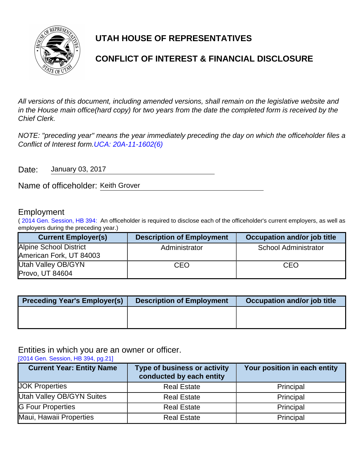

# **UTAH HOUSE OF REPRESENTATIVES**

# **CONFLICT OF INTEREST & FINANCIAL DISCLOSURE**

All versions of this document, including amended versions, shall remain on the legislative website and in the House main office(hard copy) for two years from the date the completed form is received by the Chief Clerk.

NOTE: "preceding year" means the year immediately preceding the day on which the officeholder files a Conflict of Interest form.[UCA: 20A-11-1602\(6\)](http://www.le.utah.gov/xcode/Title20A/Chapter11/20A-11-S1602.html)

Date: January 03, 2017

Name of officeholder: Keith Grover

### Employment

( [2014 Gen. Session, HB 394:](http://le.utah.gov/~2014/bills/static/HB0394.html) An officeholder is required to disclose each of the officeholder's current employers, as well as employers during the preceding year.)

| <b>Current Employer(s)</b> | <b>Description of Employment</b> | Occupation and/or job title |
|----------------------------|----------------------------------|-----------------------------|
| Alpine School District     | Administrator                    | <b>School Administrator</b> |
| American Fork, UT 84003    |                                  |                             |
| Utah Valley OB/GYN         | CEO                              | CEO                         |
| Provo, UT 84604            |                                  |                             |

| <b>Preceding Year's Employer(s)</b> | <b>Description of Employment</b> | Occupation and/or job title |
|-------------------------------------|----------------------------------|-----------------------------|
|                                     |                                  |                             |
|                                     |                                  |                             |

Entities in which you are an owner or officer.

[\[2014 Gen. Session, HB 394, pg.21\]](http://le.utah.gov/~2014/bills/static/HB0394.html)

| <b>Current Year: Entity Name</b> | <b>Type of business or activity</b><br>conducted by each entity | Your position in each entity |
|----------------------------------|-----------------------------------------------------------------|------------------------------|
| <b>JOK Properties</b>            | <b>Real Estate</b>                                              | Principal                    |
| <b>Utah Valley OB/GYN Suites</b> | <b>Real Estate</b>                                              | Principal                    |
| <b>G Four Properties</b>         | <b>Real Estate</b>                                              | Principal                    |
| Maui, Hawaii Properties          | <b>Real Estate</b>                                              | Principal                    |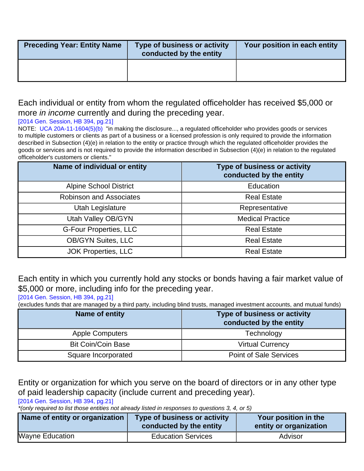| <b>Preceding Year: Entity Name</b> | Type of business or activity<br>conducted by the entity | Your position in each entity |
|------------------------------------|---------------------------------------------------------|------------------------------|
|                                    |                                                         |                              |

## Each individual or entity from whom the regulated officeholder has received \$5,000 or more *in income* currently and during the preceding year.

### [\[2014 Gen. Session, HB 394, pg.21\]](http://le.utah.gov/~2014/bills/static/HB0394.html)

NOTE: [UCA 20A-11-1604\(5\)\(b\)](http://le.utah.gov/xcode/Title20A/Chapter11/20A-11-S1604.html?v=C20A-11-S1604_2014040320140313) "in making the disclosure..., a regulated officeholder who provides goods or services to multiple customers or clients as part of a business or a licensed profession is only required to provide the information described in Subsection (4)(e) in relation to the entity or practice through which the regulated officeholder provides the goods or services and is not required to provide the information described in Subsection (4)(e) in relation to the regulated officeholder's customers or clients."

| Name of individual or entity   | Type of business or activity<br>conducted by the entity |
|--------------------------------|---------------------------------------------------------|
| <b>Alpine School District</b>  | Education                                               |
| <b>Robinson and Associates</b> | <b>Real Estate</b>                                      |
| Utah Legislature               | Representative                                          |
| Utah Valley OB/GYN             | <b>Medical Practice</b>                                 |
| <b>G-Four Properties, LLC</b>  | <b>Real Estate</b>                                      |
| <b>OB/GYN Suites, LLC</b>      | <b>Real Estate</b>                                      |
| <b>JOK Properties, LLC</b>     | <b>Real Estate</b>                                      |

Each entity in which you currently hold any stocks or bonds having a fair market value of \$5,000 or more, including info for the preceding year.

[\[2014 Gen. Session, HB 394, pg.21\]](http://le.utah.gov/~2014/bills/static/HB0394.html)

(excludes funds that are managed by a third party, including blind trusts, managed investment accounts, and mutual funds)

| Name of entity            | Type of business or activity<br>conducted by the entity |
|---------------------------|---------------------------------------------------------|
| <b>Apple Computers</b>    | Technology                                              |
| <b>Bit Coin/Coin Base</b> | <b>Virtual Currency</b>                                 |
| Square Incorporated       | <b>Point of Sale Services</b>                           |

Entity or organization for which you serve on the board of directors or in any other type of paid leadership capacity (include current and preceding year).

[\[2014 Gen. Session, HB 394, pg.21\]](http://le.utah.gov/~2014/bills/static/HB0394.html)

\*(only required to list those entities not already listed in responses to questions 3, 4, or 5)

| Name of entity or organization | Type of business or activity<br>conducted by the entity | Your position in the<br>entity or organization |
|--------------------------------|---------------------------------------------------------|------------------------------------------------|
| <b>Wayne Education</b>         | <b>Education Services</b>                               | Advisor                                        |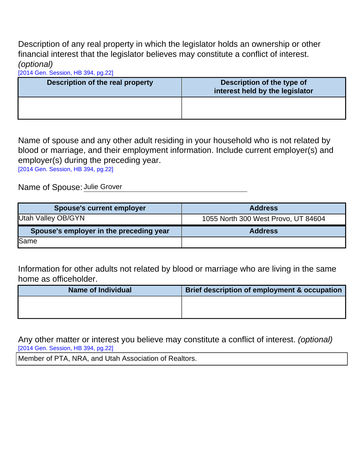Description of any real property in which the legislator holds an ownership or other financial interest that the legislator believes may constitute a conflict of interest. (optional)

[\[2014 Gen. Session, HB 394, pg.22\]](http://le.utah.gov/~2014/bills/static/HB0394.html)

| Description of the real property | Description of the type of<br>interest held by the legislator |
|----------------------------------|---------------------------------------------------------------|
|                                  |                                                               |

Name of spouse and any other adult residing in your household who is not related by blood or marriage, and their employment information. Include current employer(s) and employer(s) during the preceding year.

[\[2014 Gen. Session, HB 394, pg.22\]](http://le.utah.gov/~2014/bills/static/HB0394.html)

Name of Spouse: Julie Grover

| <b>Spouse's current employer</b>        | <b>Address</b>                      |
|-----------------------------------------|-------------------------------------|
| Utah Valley OB/GYN                      | 1055 North 300 West Provo, UT 84604 |
|                                         |                                     |
| Spouse's employer in the preceding year | <b>Address</b>                      |

Information for other adults not related by blood or marriage who are living in the same home as officeholder.

| <b>Name of Individual</b> | Brief description of employment & occupation |
|---------------------------|----------------------------------------------|
|                           |                                              |
|                           |                                              |

Any other matter or interest you believe may constitute a conflict of interest. (optional) [\[2014 Gen. Session, HB 394, pg.22\]](http://le.utah.gov/~2014/bills/static/HB0394.html)

Member of PTA, NRA, and Utah Association of Realtors.